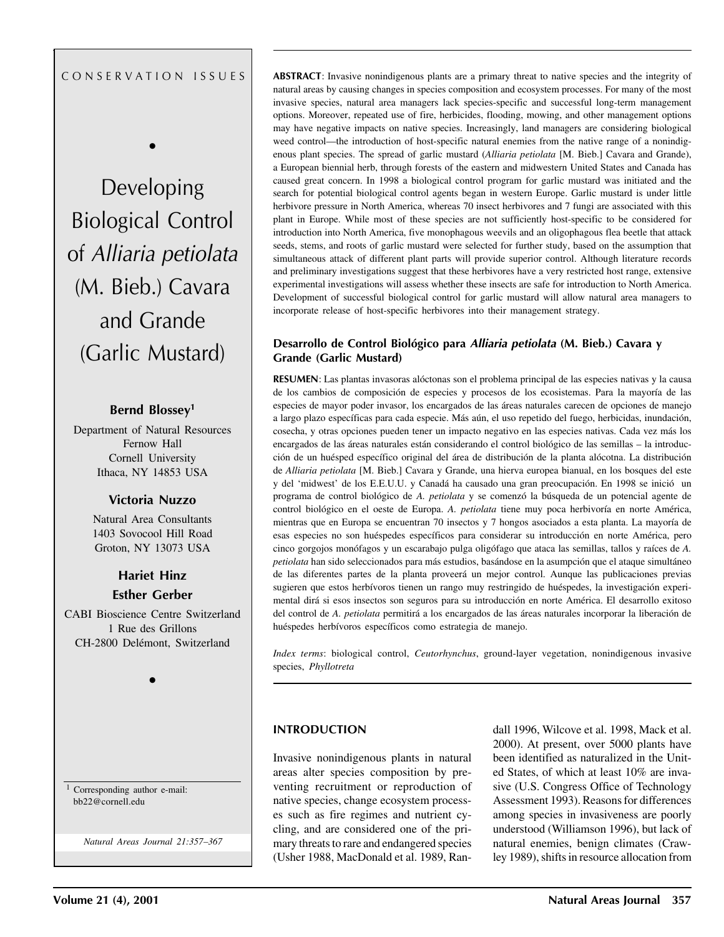•

Developing Biological Control of Alliaria petiolata (M. Bieb.) Cavara and Grande (Garlic Mustard)

## **Bernd Blossey1**

Department of Natural Resources Fernow Hall Cornell University Ithaca, NY 14853 USA

## **Victoria Nuzzo**

Natural Area Consultants 1403 Sovocool Hill Road Groton, NY 13073 USA

# **Hariet Hinz Esther Gerber**

CABI Bioscience Centre Switzerland 1 Rue des Grillons CH-2800 Delémont, Switzerland

•

<sup>1</sup> Corresponding author e-mail: bb22@cornell.edu

*Natural Areas Journal 21:357–367*

C O N S E R V A T I O N I S S U E S **ABSTRACT**: Invasive nonindigenous plants are a primary threat to native species and the integrity of natural areas by causing changes in species composition and ecosystem processes. For many of the most invasive species, natural area managers lack species-specific and successful long-term management options. Moreover, repeated use of fire, herbicides, flooding, mowing, and other management options may have negative impacts on native species. Increasingly, land managers are considering biological weed control—the introduction of host-specific natural enemies from the native range of a nonindigenous plant species. The spread of garlic mustard (*Alliaria petiolata* [M. Bieb.] Cavara and Grande), a European biennial herb, through forests of the eastern and midwestern United States and Canada has caused great concern. In 1998 a biological control program for garlic mustard was initiated and the search for potential biological control agents began in western Europe. Garlic mustard is under little herbivore pressure in North America, whereas 70 insect herbivores and 7 fungi are associated with this plant in Europe. While most of these species are not sufficiently host-specific to be considered for introduction into North America, five monophagous weevils and an oligophagous flea beetle that attack seeds, stems, and roots of garlic mustard were selected for further study, based on the assumption that simultaneous attack of different plant parts will provide superior control. Although literature records and preliminary investigations suggest that these herbivores have a very restricted host range, extensive experimental investigations will assess whether these insects are safe for introduction to North America. Development of successful biological control for garlic mustard will allow natural area managers to incorporate release of host-specific herbivores into their management strategy.

#### **Desarrollo de Control Biológico para Alliaria petiolata (M. Bieb.) Cavara y Grande (Garlic Mustard)**

**RESUMEN**: Las plantas invasoras alóctonas son el problema principal de las especies nativas y la causa de los cambios de composición de especies y procesos de los ecosistemas. Para la mayoría de las especies de mayor poder invasor, los encargados de las áreas naturales carecen de opciones de manejo a largo plazo específicas para cada especie. Más aún, el uso repetido del fuego, herbicidas, inundación, cosecha, y otras opciones pueden tener un impacto negativo en las especies nativas. Cada vez más los encargados de las áreas naturales están considerando el control biológico de las semillas – la introducción de un huésped específico original del área de distribución de la planta alócotna. La distribución de *Alliaria petiolata* [M. Bieb.] Cavara y Grande, una hierva europea bianual, en los bosques del este y del 'midwest' de los E.E.U.U. y Canadá ha causado una gran preocupación. En 1998 se inició un programa de control biológico de *A. petiolata* y se comenzó la búsqueda de un potencial agente de control biológico en el oeste de Europa. *A. petiolata* tiene muy poca herbivoría en norte América, mientras que en Europa se encuentran 70 insectos y 7 hongos asociados a esta planta. La mayoría de esas especies no son huéspedes específicos para considerar su introducción en norte América, pero cinco gorgojos monófagos y un escarabajo pulga oligófago que ataca las semillas, tallos y raíces de *A. petiolata* han sido seleccionados para más estudios, basándose en la asumpción que el ataque simultáneo de las diferentes partes de la planta proveerá un mejor control. Aunque las publicaciones previas sugieren que estos herbívoros tienen un rango muy restringido de huéspedes, la investigación experimental dirá si esos insectos son seguros para su introducción en norte América. El desarrollo exitoso del control de *A. petiolata* permitirá a los encargados de las áreas naturales incorporar la liberación de huéspedes herbívoros específicos como estrategia de manejo.

*Index terms*: biological control, *Ceutorhynchus*, ground-layer vegetation, nonindigenous invasive species, *Phyllotreta*

#### **INTRODUCTION**

Invasive nonindigenous plants in natural areas alter species composition by preventing recruitment or reproduction of native species, change ecosystem processes such as fire regimes and nutrient cycling, and are considered one of the primary threats to rare and endangered species (Usher 1988, MacDonald et al. 1989, Randall 1996, Wilcove et al. 1998, Mack et al. 2000). At present, over 5000 plants have been identified as naturalized in the United States, of which at least 10% are invasive (U.S. Congress Office of Technology Assessment 1993). Reasons for differences among species in invasiveness are poorly understood (Williamson 1996), but lack of natural enemies, benign climates (Crawley 1989), shifts in resource allocation from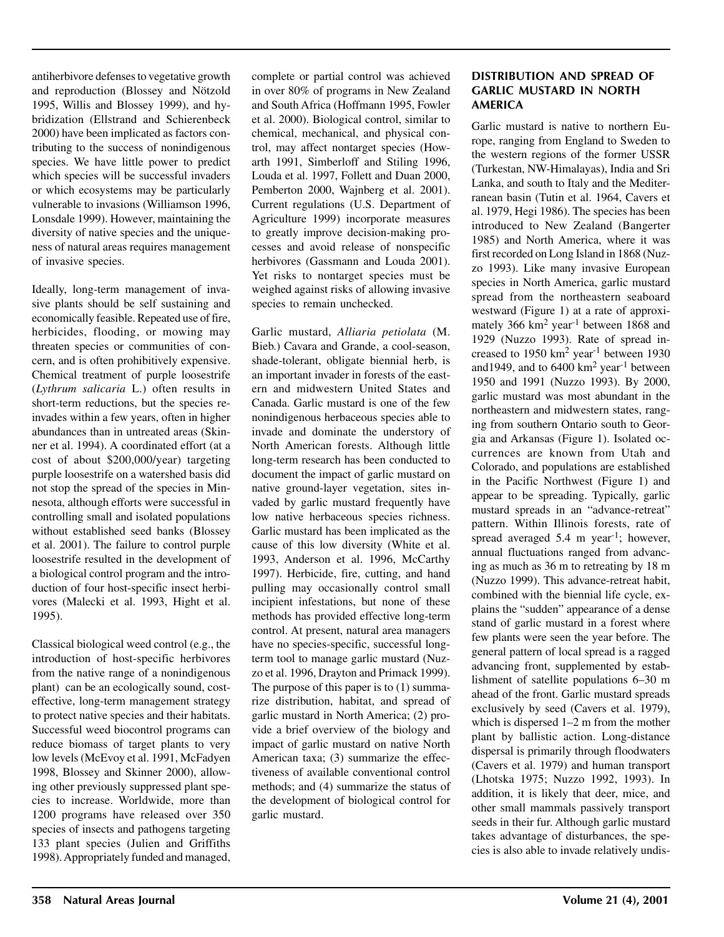antiherbivore defenses to vegetative growth and reproduction (Blossey and Nötzold 1995, Willis and Blossey 1999), and hybridization (Ellstrand and Schierenbeck 2000) have been implicated as factors contributing to the success of nonindigenous species. We have little power to predict which species will be successful invaders or which ecosystems may be particularly vulnerable to invasions (Williamson 1996, Lonsdale 1999). However, maintaining the diversity of native species and the uniqueness of natural areas requires management of invasive species.

Ideally, long-term management of invasive plants should be self sustaining and economically feasible. Repeated use of fire, herbicides, flooding, or mowing may threaten species or communities of concern, and is often prohibitively expensive. Chemical treatment of purple loosestrife (*Lythrum salicaria* L.) often results in short-term reductions, but the species reinvades within a few years, often in higher abundances than in untreated areas (Skinner et al. 1994). A coordinated effort (at a cost of about \$200,000/year) targeting purple loosestrife on a watershed basis did not stop the spread of the species in Minnesota, although efforts were successful in controlling small and isolated populations without established seed banks (Blossey et al. 2001). The failure to control purple loosestrife resulted in the development of a biological control program and the introduction of four host-specific insect herbivores (Malecki et al. 1993, Hight et al. 1995).

Classical biological weed control (e.g., the introduction of host-specific herbivores from the native range of a nonindigenous plant) can be an ecologically sound, costeffective, long-term management strategy to protect native species and their habitats. Successful weed biocontrol programs can reduce biomass of target plants to very low levels (McEvoy et al. 1991, McFadyen 1998, Blossey and Skinner 2000), allowing other previously suppressed plant species to increase. Worldwide, more than 1200 programs have released over 350 species of insects and pathogens targeting 133 plant species (Julien and Griffiths 1998). Appropriately funded and managed, complete or partial control was achieved in over 80% of programs in New Zealand and South Africa (Hoffmann 1995, Fowler et al. 2000). Biological control, similar to chemical, mechanical, and physical control, may affect nontarget species (Howarth 1991, Simberloff and Stiling 1996, Louda et al. 1997, Follett and Duan 2000, Pemberton 2000, Wajnberg et al. 2001). Current regulations (U.S. Department of Agriculture 1999) incorporate measures to greatly improve decision-making processes and avoid release of nonspecific herbivores (Gassmann and Louda 2001). Yet risks to nontarget species must be weighed against risks of allowing invasive species to remain unchecked.

Garlic mustard, *Alliaria petiolata* (M. Bieb.) Cavara and Grande, a cool-season, shade-tolerant, obligate biennial herb, is an important invader in forests of the eastern and midwestern United States and Canada. Garlic mustard is one of the few nonindigenous herbaceous species able to invade and dominate the understory of North American forests. Although little long-term research has been conducted to document the impact of garlic mustard on native ground-layer vegetation, sites invaded by garlic mustard frequently have low native herbaceous species richness. Garlic mustard has been implicated as the cause of this low diversity (White et al. 1993, Anderson et al. 1996, McCarthy 1997). Herbicide, fire, cutting, and hand pulling may occasionally control small incipient infestations, but none of these methods has provided effective long-term control. At present, natural area managers have no species-specific, successful longterm tool to manage garlic mustard (Nuzzo et al. 1996, Drayton and Primack 1999). The purpose of this paper is to (1) summarize distribution, habitat, and spread of garlic mustard in North America; (2) provide a brief overview of the biology and impact of garlic mustard on native North American taxa; (3) summarize the effectiveness of available conventional control methods; and (4) summarize the status of the development of biological control for garlic mustard.

#### **DISTRIBUTION AND SPREAD OF GARLIC MUSTARD IN NORTH AMERICA**

Garlic mustard is native to northern Europe, ranging from England to Sweden to the western regions of the former USSR (Turkestan, NW-Himalayas), India and Sri Lanka, and south to Italy and the Mediterranean basin (Tutin et al. 1964, Cavers et al. 1979, Hegi 1986). The species has been introduced to New Zealand (Bangerter 1985) and North America, where it was first recorded on Long Island in 1868 (Nuzzo 1993). Like many invasive European species in North America, garlic mustard spread from the northeastern seaboard westward (Figure 1) at a rate of approximately 366 km<sup>2</sup> year<sup>-1</sup> between 1868 and 1929 (Nuzzo 1993). Rate of spread increased to 1950 km2 year-1 between 1930 and 1949, and to  $6400 \text{ km}^2 \text{ year}^{-1}$  between 1950 and 1991 (Nuzzo 1993). By 2000, garlic mustard was most abundant in the northeastern and midwestern states, ranging from southern Ontario south to Georgia and Arkansas (Figure 1). Isolated occurrences are known from Utah and Colorado, and populations are established in the Pacific Northwest (Figure 1) and appear to be spreading. Typically, garlic mustard spreads in an "advance-retreat" pattern. Within Illinois forests, rate of spread averaged  $5.4 \text{ m year}^{-1}$ ; however, annual fluctuations ranged from advancing as much as 36 m to retreating by 18 m (Nuzzo 1999). This advance-retreat habit, combined with the biennial life cycle, explains the "sudden" appearance of a dense stand of garlic mustard in a forest where few plants were seen the year before. The general pattern of local spread is a ragged advancing front, supplemented by establishment of satellite populations 6–30 m ahead of the front. Garlic mustard spreads exclusively by seed (Cavers et al. 1979), which is dispersed 1–2 m from the mother plant by ballistic action. Long-distance dispersal is primarily through floodwaters (Cavers et al. 1979) and human transport (Lhotska 1975; Nuzzo 1992, 1993). In addition, it is likely that deer, mice, and other small mammals passively transport seeds in their fur. Although garlic mustard takes advantage of disturbances, the species is also able to invade relatively undis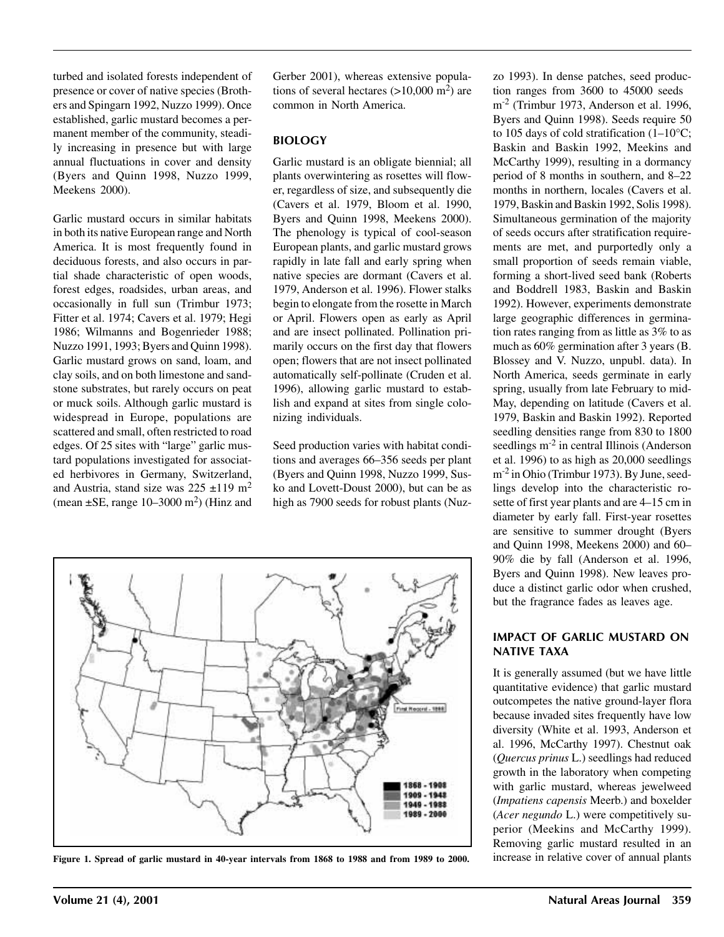turbed and isolated forests independent of presence or cover of native species (Brothers and Spingarn 1992, Nuzzo 1999). Once established, garlic mustard becomes a permanent member of the community, steadily increasing in presence but with large annual fluctuations in cover and density (Byers and Quinn 1998, Nuzzo 1999, Meekens 2000).

Garlic mustard occurs in similar habitats in both its native European range and North America. It is most frequently found in deciduous forests, and also occurs in partial shade characteristic of open woods, forest edges, roadsides, urban areas, and occasionally in full sun (Trimbur 1973; Fitter et al. 1974; Cavers et al. 1979; Hegi 1986; Wilmanns and Bogenrieder 1988; Nuzzo 1991, 1993; Byers and Quinn 1998). Garlic mustard grows on sand, loam, and clay soils, and on both limestone and sandstone substrates, but rarely occurs on peat or muck soils. Although garlic mustard is widespread in Europe, populations are scattered and small, often restricted to road edges. Of 25 sites with "large" garlic mustard populations investigated for associated herbivores in Germany, Switzerland, and Austria, stand size was  $225 \pm 119$  m<sup>2</sup> (mean  $\pm$ SE, range 10–3000 m<sup>2</sup>) (Hinz and

Gerber 2001), whereas extensive populations of several hectares  $(>10,000 \text{ m}^2)$  are common in North America.

## **BIOLOGY**

Garlic mustard is an obligate biennial; all plants overwintering as rosettes will flower, regardless of size, and subsequently die (Cavers et al. 1979, Bloom et al. 1990, Byers and Quinn 1998, Meekens 2000). The phenology is typical of cool-season European plants, and garlic mustard grows rapidly in late fall and early spring when native species are dormant (Cavers et al. 1979, Anderson et al. 1996). Flower stalks begin to elongate from the rosette in March or April. Flowers open as early as April and are insect pollinated. Pollination primarily occurs on the first day that flowers open; flowers that are not insect pollinated automatically self-pollinate (Cruden et al. 1996), allowing garlic mustard to establish and expand at sites from single colonizing individuals.

Seed production varies with habitat conditions and averages 66–356 seeds per plant (Byers and Quinn 1998, Nuzzo 1999, Susko and Lovett-Doust 2000), but can be as high as 7900 seeds for robust plants (Nuz-



**Figure 1. Spread of garlic mustard in 40-year intervals from 1868 to 1988 and from 1989 to 2000.** increase in relative cover of annual plants

zo 1993). In dense patches, seed production ranges from 3600 to 45000 seeds m<sup>-2</sup> (Trimbur 1973, Anderson et al. 1996, Byers and Quinn 1998). Seeds require 50 to 105 days of cold stratification  $(1-10^{\circ}C)$ ; Baskin and Baskin 1992, Meekins and McCarthy 1999), resulting in a dormancy period of 8 months in southern, and 8–22 months in northern, locales (Cavers et al. 1979, Baskin and Baskin 1992, Solis 1998). Simultaneous germination of the majority of seeds occurs after stratification requirements are met, and purportedly only a small proportion of seeds remain viable, forming a short-lived seed bank (Roberts and Boddrell 1983, Baskin and Baskin 1992). However, experiments demonstrate large geographic differences in germination rates ranging from as little as 3% to as much as 60% germination after 3 years (B. Blossey and V. Nuzzo, unpubl. data). In North America, seeds germinate in early spring, usually from late February to mid-May, depending on latitude (Cavers et al. 1979, Baskin and Baskin 1992). Reported seedling densities range from 830 to 1800 seedlings m<sup>-2</sup> in central Illinois (Anderson et al. 1996) to as high as 20,000 seedlings m-2 in Ohio (Trimbur 1973). By June, seedlings develop into the characteristic rosette of first year plants and are 4–15 cm in diameter by early fall. First-year rosettes are sensitive to summer drought (Byers and Quinn 1998, Meekens 2000) and 60– 90% die by fall (Anderson et al. 1996, Byers and Quinn 1998). New leaves produce a distinct garlic odor when crushed, but the fragrance fades as leaves age.

#### **IMPACT OF GARLIC MUSTARD ON NATIVE TAXA**

It is generally assumed (but we have little quantitative evidence) that garlic mustard outcompetes the native ground-layer flora because invaded sites frequently have low diversity (White et al. 1993, Anderson et al. 1996, McCarthy 1997). Chestnut oak (*Quercus prinus* L.) seedlings had reduced growth in the laboratory when competing with garlic mustard, whereas jewelweed (*Impatiens capensis* Meerb.) and boxelder (*Acer negundo* L.) were competitively superior (Meekins and McCarthy 1999). Removing garlic mustard resulted in an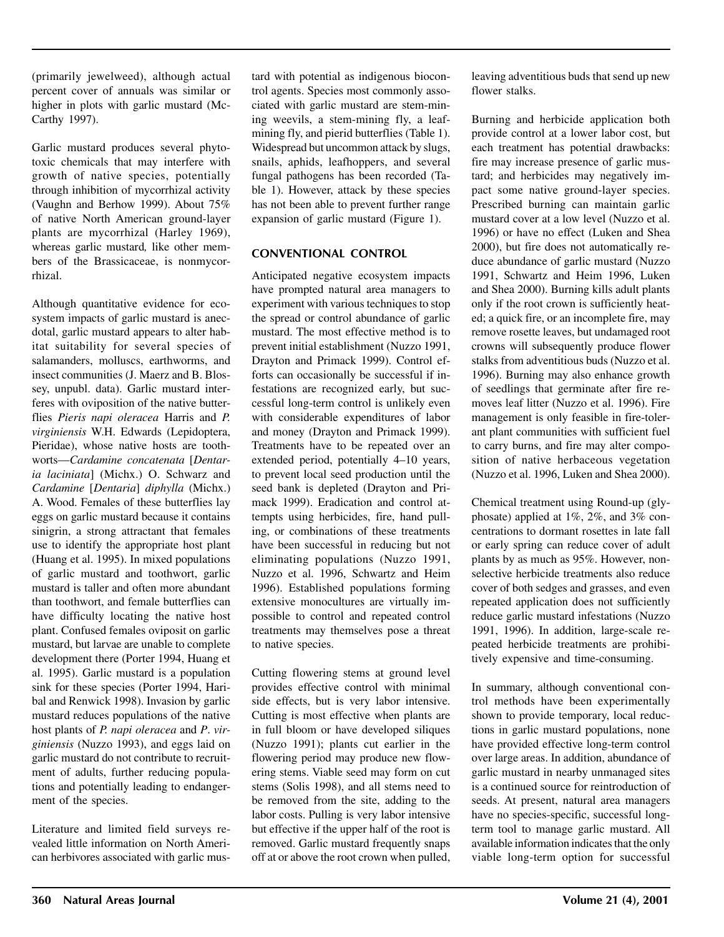(primarily jewelweed), although actual percent cover of annuals was similar or higher in plots with garlic mustard (Mc-Carthy 1997).

Garlic mustard produces several phytotoxic chemicals that may interfere with growth of native species, potentially through inhibition of mycorrhizal activity (Vaughn and Berhow 1999). About 75% of native North American ground-layer plants are mycorrhizal (Harley 1969), whereas garlic mustard*,* like other members of the Brassicaceae, is nonmycorrhizal.

Although quantitative evidence for ecosystem impacts of garlic mustard is anecdotal, garlic mustard appears to alter habitat suitability for several species of salamanders, molluscs, earthworms, and insect communities (J. Maerz and B. Blossey, unpubl. data). Garlic mustard interferes with oviposition of the native butterflies *Pieris napi oleracea* Harris and *P. virginiensis* W.H. Edwards (Lepidoptera, Pieridae), whose native hosts are toothworts—*Cardamine concatenata* [*Dentaria laciniata*] (Michx.) O. Schwarz and *Cardamine* [*Dentaria*] *diphylla* (Michx.) A. Wood. Females of these butterflies lay eggs on garlic mustard because it contains sinigrin, a strong attractant that females use to identify the appropriate host plant (Huang et al. 1995). In mixed populations of garlic mustard and toothwort, garlic mustard is taller and often more abundant than toothwort, and female butterflies can have difficulty locating the native host plant. Confused females oviposit on garlic mustard, but larvae are unable to complete development there (Porter 1994, Huang et al. 1995). Garlic mustard is a population sink for these species (Porter 1994, Haribal and Renwick 1998). Invasion by garlic mustard reduces populations of the native host plants of *P. napi oleracea* and *P*. *virginiensis* (Nuzzo 1993), and eggs laid on garlic mustard do not contribute to recruitment of adults, further reducing populations and potentially leading to endangerment of the species.

Literature and limited field surveys revealed little information on North American herbivores associated with garlic mustard with potential as indigenous biocontrol agents. Species most commonly associated with garlic mustard are stem-mining weevils, a stem-mining fly, a leafmining fly, and pierid butterflies (Table 1). Widespread but uncommon attack by slugs, snails, aphids, leafhoppers, and several fungal pathogens has been recorded (Table 1). However, attack by these species has not been able to prevent further range expansion of garlic mustard (Figure 1).

## **CONVENTIONAL CONTROL**

Anticipated negative ecosystem impacts have prompted natural area managers to experiment with various techniques to stop the spread or control abundance of garlic mustard. The most effective method is to prevent initial establishment (Nuzzo 1991, Drayton and Primack 1999). Control efforts can occasionally be successful if infestations are recognized early, but successful long-term control is unlikely even with considerable expenditures of labor and money (Drayton and Primack 1999). Treatments have to be repeated over an extended period, potentially 4–10 years, to prevent local seed production until the seed bank is depleted (Drayton and Primack 1999). Eradication and control attempts using herbicides, fire, hand pulling, or combinations of these treatments have been successful in reducing but not eliminating populations (Nuzzo 1991, Nuzzo et al. 1996, Schwartz and Heim 1996). Established populations forming extensive monocultures are virtually impossible to control and repeated control treatments may themselves pose a threat to native species.

Cutting flowering stems at ground level provides effective control with minimal side effects, but is very labor intensive. Cutting is most effective when plants are in full bloom or have developed siliques (Nuzzo 1991); plants cut earlier in the flowering period may produce new flowering stems. Viable seed may form on cut stems (Solis 1998), and all stems need to be removed from the site, adding to the labor costs. Pulling is very labor intensive but effective if the upper half of the root is removed. Garlic mustard frequently snaps off at or above the root crown when pulled, leaving adventitious buds that send up new flower stalks.

Burning and herbicide application both provide control at a lower labor cost, but each treatment has potential drawbacks: fire may increase presence of garlic mustard; and herbicides may negatively impact some native ground-layer species. Prescribed burning can maintain garlic mustard cover at a low level (Nuzzo et al. 1996) or have no effect (Luken and Shea 2000), but fire does not automatically reduce abundance of garlic mustard (Nuzzo 1991, Schwartz and Heim 1996, Luken and Shea 2000). Burning kills adult plants only if the root crown is sufficiently heated; a quick fire, or an incomplete fire, may remove rosette leaves, but undamaged root crowns will subsequently produce flower stalks from adventitious buds (Nuzzo et al. 1996). Burning may also enhance growth of seedlings that germinate after fire removes leaf litter (Nuzzo et al. 1996). Fire management is only feasible in fire-tolerant plant communities with sufficient fuel to carry burns, and fire may alter composition of native herbaceous vegetation (Nuzzo et al. 1996, Luken and Shea 2000).

Chemical treatment using Round-up (glyphosate) applied at 1%, 2%, and 3% concentrations to dormant rosettes in late fall or early spring can reduce cover of adult plants by as much as 95%. However, nonselective herbicide treatments also reduce cover of both sedges and grasses, and even repeated application does not sufficiently reduce garlic mustard infestations (Nuzzo 1991, 1996). In addition, large-scale repeated herbicide treatments are prohibitively expensive and time-consuming.

In summary, although conventional control methods have been experimentally shown to provide temporary, local reductions in garlic mustard populations, none have provided effective long-term control over large areas. In addition, abundance of garlic mustard in nearby unmanaged sites is a continued source for reintroduction of seeds. At present, natural area managers have no species-specific, successful longterm tool to manage garlic mustard. All available information indicates that the only viable long-term option for successful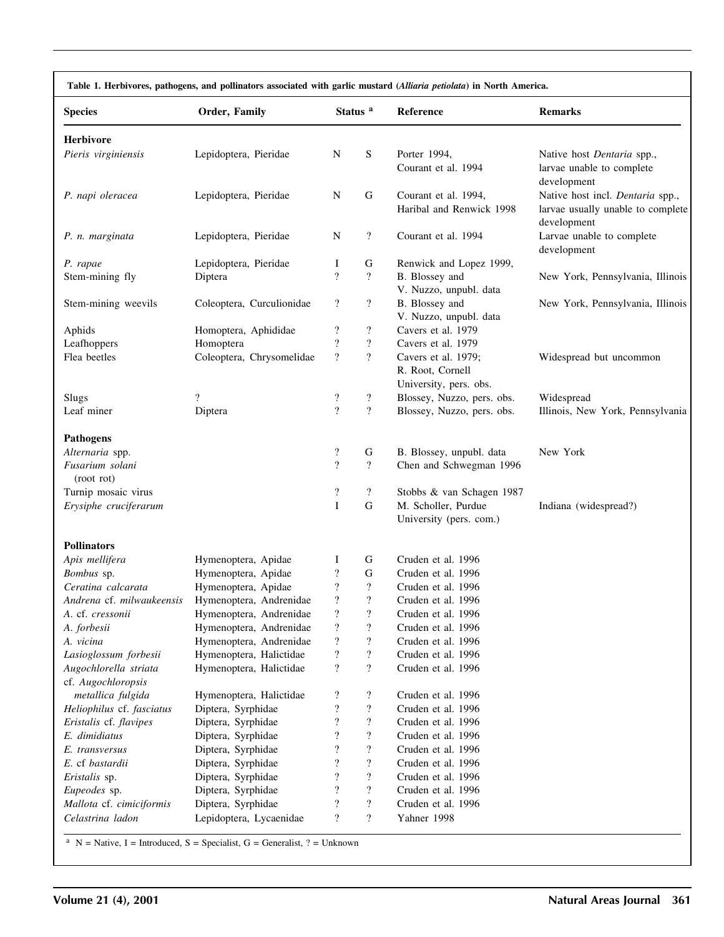| <b>Species</b>                          | Order, Family                            | Status <sup>a</sup>                      |                                                      | Reference                                            | <b>Remarks</b>                                   |
|-----------------------------------------|------------------------------------------|------------------------------------------|------------------------------------------------------|------------------------------------------------------|--------------------------------------------------|
| <b>Herbivore</b>                        |                                          |                                          |                                                      |                                                      |                                                  |
| Pieris virginiensis                     | Lepidoptera, Pieridae                    | N                                        | S                                                    | Porter 1994,                                         | Native host Dentaria spp.,                       |
|                                         |                                          |                                          |                                                      | Courant et al. 1994                                  | larvae unable to complete<br>development         |
| P. napi oleracea                        | Lepidoptera, Pieridae                    | N                                        | G                                                    | Courant et al. 1994,                                 | Native host incl. Dentaria spp.,                 |
|                                         |                                          |                                          |                                                      | Haribal and Renwick 1998                             | larvae usually unable to complete<br>development |
| P. n. marginata                         | Lepidoptera, Pieridae                    | N                                        | $\ddot{?}$                                           | Courant et al. 1994                                  | Larvae unable to complete<br>development         |
| P. rapae                                | Lepidoptera, Pieridae                    | I                                        | G                                                    | Renwick and Lopez 1999,                              |                                                  |
| Stem-mining fly                         | Diptera                                  | $\gamma$                                 | $\overline{?}$                                       | B. Blossey and<br>V. Nuzzo, unpubl. data             | New York, Pennsylvania, Illinois                 |
| Stem-mining weevils                     | Coleoptera, Curculionidae                | $\overline{\mathcal{L}}$                 | $\overline{\mathcal{L}}$                             | B. Blossey and<br>V. Nuzzo, unpubl. data             | New York, Pennsylvania, Illinois                 |
| Aphids                                  | Homoptera, Aphididae                     | ?                                        | $\ddot{?}$                                           | Cavers et al. 1979                                   |                                                  |
| Leafhoppers                             | Homoptera                                | $\overline{\cdot}$                       | $\overline{\mathcal{L}}$                             | Cavers et al. 1979                                   |                                                  |
| Flea beetles                            | Coleoptera, Chrysomelidae                | $\overline{\mathcal{L}}$                 | $\overline{?}$                                       | Cavers et al. 1979;<br>R. Root, Cornell              | Widespread but uncommon                          |
| Slugs                                   | $\overline{?}$                           | $\overline{\mathcal{L}}$                 | $\overline{\mathbf{?}}$                              | University, pers. obs.<br>Blossey, Nuzzo, pers. obs. | Widespread                                       |
| Leaf miner                              | Diptera                                  | $\overline{?}$                           | $\overline{\cdot}$                                   | Blossey, Nuzzo, pers. obs.                           | Illinois, New York, Pennsylvania                 |
|                                         |                                          |                                          |                                                      |                                                      |                                                  |
| <b>Pathogens</b>                        |                                          |                                          |                                                      |                                                      |                                                  |
| Alternaria spp.                         |                                          | $\overline{\cdot}$                       | G                                                    | B. Blossey, unpubl. data                             | New York                                         |
| Fusarium solani                         |                                          | $\overline{?}$                           | $\overline{?}$                                       | Chen and Schwegman 1996                              |                                                  |
| (root rot)                              |                                          |                                          |                                                      |                                                      |                                                  |
| Turnip mosaic virus                     |                                          | $\overline{\mathbf{?}}$                  | $\overline{\mathbf{?}}$                              | Stobbs & van Schagen 1987                            |                                                  |
| Erysiphe cruciferarum                   |                                          | $\mathbf I$                              | $\mathbf G$                                          | M. Scholler, Purdue<br>University (pers. com.)       | Indiana (widespread?)                            |
| <b>Pollinators</b>                      |                                          |                                          |                                                      |                                                      |                                                  |
| Apis mellifera                          | Hymenoptera, Apidae                      | Ι                                        | G                                                    | Cruden et al. 1996                                   |                                                  |
| Bombus sp.                              | Hymenoptera, Apidae                      | $\overline{\mathbf{?}}$                  | G                                                    | Cruden et al. 1996                                   |                                                  |
| Ceratina calcarata                      | Hymenoptera, Apidae                      | $\overline{\mathbf{?}}$                  | $\overline{\mathcal{L}}$                             | Cruden et al. 1996                                   |                                                  |
| Andrena cf. milwaukeensis               | Hymenoptera, Andrenidae                  | $\gamma$                                 | $\gamma$                                             | Cruden et al. 1996                                   |                                                  |
| A. cf. cressonii                        | Hymenoptera, Andrenidae                  | $\overline{\mathbf{?}}$                  | $\ddot{?}$                                           | Cruden et al. 1996                                   |                                                  |
| A. forbesii                             | Hymenoptera, Andrenidae                  | $\overline{\mathcal{L}}$                 | $\overline{\cdot}$                                   | Cruden et al. 1996                                   |                                                  |
| A. vicina                               | Hymenoptera, Andrenidae                  | $\overline{\cdot}$                       | $\overline{\cdot}$                                   | Cruden et al. 1996                                   |                                                  |
| Lasioglossum forbesii                   | Hymenoptera, Halictidae                  | $\overline{\mathcal{L}}$                 | $\overline{\mathcal{L}}$                             | Cruden et al. 1996                                   |                                                  |
| Augochlorella striata                   | Hymenoptera, Halictidae                  | $\ddot{?}$                               | $\overline{\mathcal{L}}$                             | Cruden et al. 1996                                   |                                                  |
| cf. Augochloropsis                      |                                          |                                          |                                                      |                                                      |                                                  |
| metallica fulgida                       | Hymenoptera, Halictidae                  | $\overline{\cdot}$                       | $\overline{\mathcal{L}}$                             | Cruden et al. 1996                                   |                                                  |
| Heliophilus cf. fasciatus               | Diptera, Syrphidae                       | $\overline{\cdot}$<br>$\overline{\cdot}$ | $\overline{?}$                                       | Cruden et al. 1996<br>Cruden et al. 1996             |                                                  |
| Eristalis cf. flavipes<br>E. dimidiatus | Diptera, Syrphidae                       | $\overline{\mathcal{L}}$                 | $\overline{\mathcal{L}}$                             |                                                      |                                                  |
| E. transversus                          | Diptera, Syrphidae                       | $\overline{\mathcal{L}}$                 | $\overline{\mathcal{L}}$<br>$\overline{\mathcal{L}}$ | Cruden et al. 1996<br>Cruden et al. 1996             |                                                  |
| E. cf bastardii                         | Diptera, Syrphidae<br>Diptera, Syrphidae | $\overline{\mathcal{L}}$                 | $\overline{\mathcal{L}}$                             | Cruden et al. 1996                                   |                                                  |
| Eristalis sp.                           | Diptera, Syrphidae                       | $\overline{\mathcal{L}}$                 | $\overline{?}$                                       | Cruden et al. 1996                                   |                                                  |
| Eupeodes sp.                            | Diptera, Syrphidae                       | $\overline{\cdot}$                       | $\overline{?}$                                       | Cruden et al. 1996                                   |                                                  |
| Mallota cf. cimiciformis                | Diptera, Syrphidae                       | $\overline{\cdot}$                       | $\overline{\mathcal{L}}$                             | Cruden et al. 1996                                   |                                                  |
| Celastrina ladon                        | Lepidoptera, Lycaenidae                  | $\overline{?}$                           | $\overline{\mathcal{L}}$                             | Yahner 1998                                          |                                                  |

٦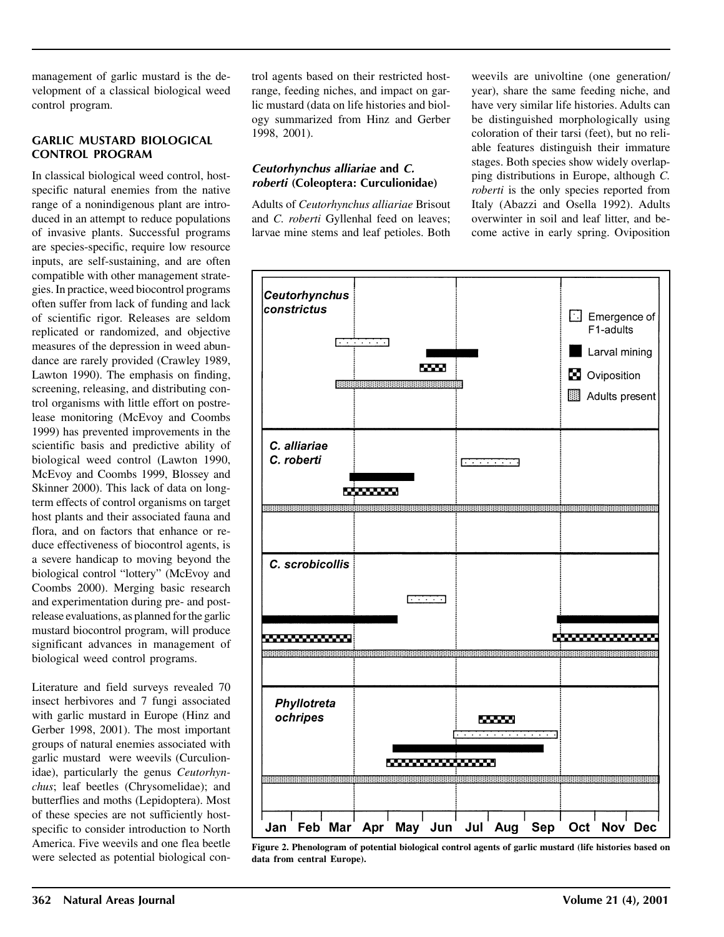management of garlic mustard is the development of a classical biological weed control program.

## **GARLIC MUSTARD BIOLOGICAL CONTROL PROGRAM**

In classical biological weed control, hostspecific natural enemies from the native range of a nonindigenous plant are introduced in an attempt to reduce populations of invasive plants. Successful programs are species-specific, require low resource inputs, are self-sustaining, and are often compatible with other management strategies. In practice, weed biocontrol programs often suffer from lack of funding and lack of scientific rigor. Releases are seldom replicated or randomized, and objective measures of the depression in weed abundance are rarely provided (Crawley 1989, Lawton 1990). The emphasis on finding, screening, releasing, and distributing control organisms with little effort on postrelease monitoring (McEvoy and Coombs 1999) has prevented improvements in the scientific basis and predictive ability of biological weed control (Lawton 1990, McEvoy and Coombs 1999, Blossey and Skinner 2000). This lack of data on longterm effects of control organisms on target host plants and their associated fauna and flora, and on factors that enhance or reduce effectiveness of biocontrol agents, is a severe handicap to moving beyond the biological control "lottery" (McEvoy and Coombs 2000). Merging basic research and experimentation during pre- and postrelease evaluations, as planned for the garlic mustard biocontrol program, will produce significant advances in management of biological weed control programs.

Literature and field surveys revealed 70 insect herbivores and 7 fungi associated with garlic mustard in Europe (Hinz and Gerber 1998, 2001). The most important groups of natural enemies associated with garlic mustard were weevils (Curculionidae), particularly the genus *Ceutorhynchus*; leaf beetles (Chrysomelidae); and butterflies and moths (Lepidoptera). Most of these species are not sufficiently hostspecific to consider introduction to North America. Five weevils and one flea beetle were selected as potential biological control agents based on their restricted hostrange, feeding niches, and impact on garlic mustard (data on life histories and biology summarized from Hinz and Gerber 1998, 2001).

## **Ceutorhynchus alliariae and C. roberti (Coleoptera: Curculionidae)**

Adults of *Ceutorhynchus alliariae* Brisout and *C. roberti* Gyllenhal feed on leaves; larvae mine stems and leaf petioles. Both

weevils are univoltine (one generation/ year), share the same feeding niche, and have very similar life histories. Adults can be distinguished morphologically using coloration of their tarsi (feet), but no reliable features distinguish their immature stages. Both species show widely overlapping distributions in Europe, although *C. roberti* is the only species reported from Italy (Abazzi and Osella 1992). Adults overwinter in soil and leaf litter, and become active in early spring. Oviposition



**Figure 2. Phenologram of potential biological control agents of garlic mustard (life histories based on data from central Europe).**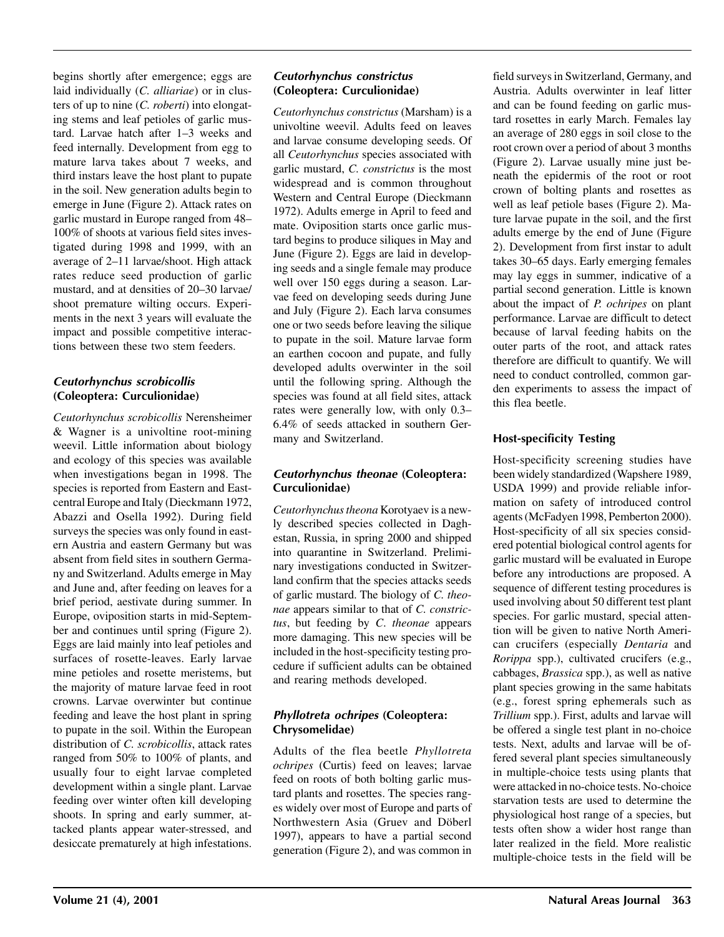begins shortly after emergence; eggs are laid individually (*C. alliariae*) or in clusters of up to nine (*C. roberti*) into elongating stems and leaf petioles of garlic mustard. Larvae hatch after 1–3 weeks and feed internally. Development from egg to mature larva takes about 7 weeks, and third instars leave the host plant to pupate in the soil. New generation adults begin to emerge in June (Figure 2). Attack rates on garlic mustard in Europe ranged from 48– 100% of shoots at various field sites investigated during 1998 and 1999, with an average of 2–11 larvae/shoot. High attack rates reduce seed production of garlic mustard, and at densities of 20–30 larvae/ shoot premature wilting occurs. Experiments in the next 3 years will evaluate the impact and possible competitive interactions between these two stem feeders.

## **Ceutorhynchus scrobicollis (Coleoptera: Curculionidae)**

*Ceutorhynchus scrobicollis* Nerensheimer & Wagner is a univoltine root-mining weevil. Little information about biology and ecology of this species was available when investigations began in 1998. The species is reported from Eastern and Eastcentral Europe and Italy (Dieckmann 1972, Abazzi and Osella 1992). During field surveys the species was only found in eastern Austria and eastern Germany but was absent from field sites in southern Germany and Switzerland. Adults emerge in May and June and, after feeding on leaves for a brief period, aestivate during summer. In Europe, oviposition starts in mid-September and continues until spring (Figure 2). Eggs are laid mainly into leaf petioles and surfaces of rosette-leaves. Early larvae mine petioles and rosette meristems, but the majority of mature larvae feed in root crowns. Larvae overwinter but continue feeding and leave the host plant in spring to pupate in the soil. Within the European distribution of *C. scrobicollis*, attack rates ranged from 50% to 100% of plants, and usually four to eight larvae completed development within a single plant. Larvae feeding over winter often kill developing shoots. In spring and early summer, attacked plants appear water-stressed, and desiccate prematurely at high infestations.

# **Ceutorhynchus constrictus (Coleoptera: Curculionidae)**

*Ceutorhynchus constrictus* (Marsham) is a univoltine weevil. Adults feed on leaves and larvae consume developing seeds. Of all *Ceutorhynchus* species associated with garlic mustard, *C. constrictus* is the most widespread and is common throughout Western and Central Europe (Dieckmann 1972). Adults emerge in April to feed and mate. Oviposition starts once garlic mustard begins to produce siliques in May and June (Figure 2). Eggs are laid in developing seeds and a single female may produce well over 150 eggs during a season. Larvae feed on developing seeds during June and July (Figure 2). Each larva consumes one or two seeds before leaving the silique to pupate in the soil. Mature larvae form an earthen cocoon and pupate, and fully developed adults overwinter in the soil until the following spring. Although the species was found at all field sites, attack rates were generally low, with only 0.3– 6.4% of seeds attacked in southern Germany and Switzerland.

## **Ceutorhynchus theonae (Coleoptera: Curculionidae)**

*Ceutorhynchus theona* Korotyaev is a newly described species collected in Daghestan, Russia, in spring 2000 and shipped into quarantine in Switzerland. Preliminary investigations conducted in Switzerland confirm that the species attacks seeds of garlic mustard. The biology of *C. theonae* appears similar to that of *C. constrictus*, but feeding by *C*. *theonae* appears more damaging. This new species will be included in the host-specificity testing procedure if sufficient adults can be obtained and rearing methods developed.

# **Phyllotreta ochripes (Coleoptera: Chrysomelidae)**

Adults of the flea beetle *Phyllotreta ochripes* (Curtis) feed on leaves; larvae feed on roots of both bolting garlic mustard plants and rosettes. The species ranges widely over most of Europe and parts of Northwestern Asia (Gruev and Döberl 1997), appears to have a partial second generation (Figure 2), and was common in

field surveys in Switzerland, Germany, and Austria. Adults overwinter in leaf litter and can be found feeding on garlic mustard rosettes in early March. Females lay an average of 280 eggs in soil close to the root crown over a period of about 3 months (Figure 2). Larvae usually mine just beneath the epidermis of the root or root crown of bolting plants and rosettes as well as leaf petiole bases (Figure 2). Mature larvae pupate in the soil, and the first adults emerge by the end of June (Figure 2). Development from first instar to adult takes 30–65 days. Early emerging females may lay eggs in summer, indicative of a partial second generation. Little is known about the impact of *P. ochripes* on plant performance. Larvae are difficult to detect because of larval feeding habits on the outer parts of the root, and attack rates therefore are difficult to quantify. We will need to conduct controlled, common garden experiments to assess the impact of this flea beetle.

# **Host-specificity Testing**

Host-specificity screening studies have been widely standardized (Wapshere 1989, USDA 1999) and provide reliable information on safety of introduced control agents (McFadyen 1998, Pemberton 2000). Host-specificity of all six species considered potential biological control agents for garlic mustard will be evaluated in Europe before any introductions are proposed. A sequence of different testing procedures is used involving about 50 different test plant species. For garlic mustard, special attention will be given to native North American crucifers (especially *Dentaria* and *Rorippa* spp.), cultivated crucifers (e.g., cabbages, *Brassica* spp.), as well as native plant species growing in the same habitats (e.g., forest spring ephemerals such as *Trillium* spp.). First, adults and larvae will be offered a single test plant in no-choice tests. Next, adults and larvae will be offered several plant species simultaneously in multiple-choice tests using plants that were attacked in no-choice tests. No-choice starvation tests are used to determine the physiological host range of a species, but tests often show a wider host range than later realized in the field. More realistic multiple-choice tests in the field will be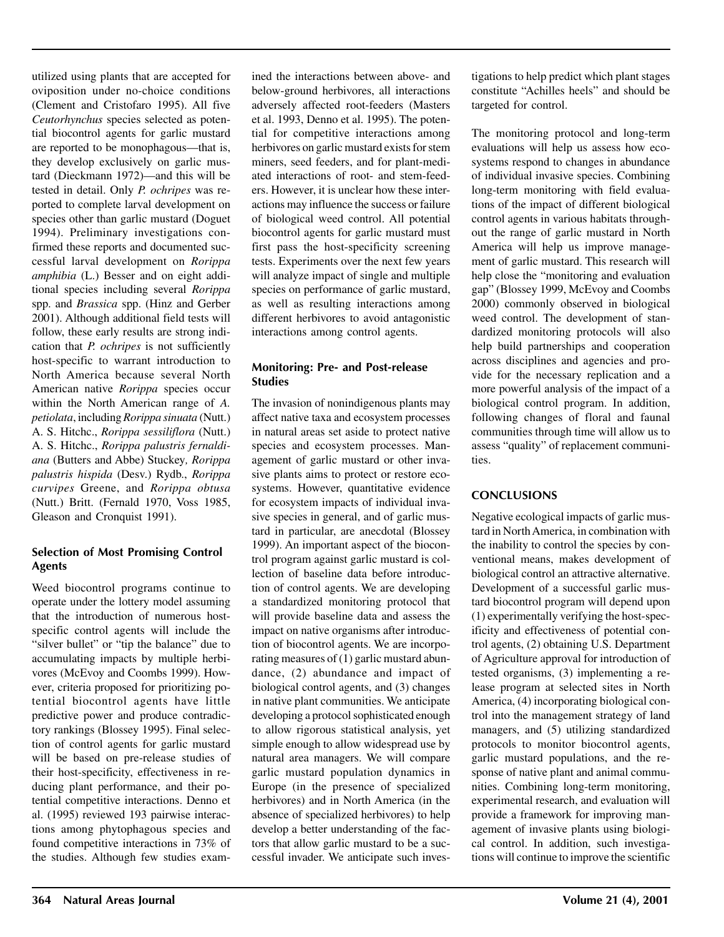utilized using plants that are accepted for oviposition under no-choice conditions (Clement and Cristofaro 1995). All five *Ceutorhynchus* species selected as potential biocontrol agents for garlic mustard are reported to be monophagous—that is, they develop exclusively on garlic mustard (Dieckmann 1972)—and this will be tested in detail. Only *P. ochripes* was reported to complete larval development on species other than garlic mustard (Doguet 1994). Preliminary investigations confirmed these reports and documented successful larval development on *Rorippa amphibia* (L.) Besser and on eight additional species including several *Rorippa* spp. and *Brassica* spp. (Hinz and Gerber 2001). Although additional field tests will follow, these early results are strong indication that *P. ochripes* is not sufficiently host-specific to warrant introduction to North America because several North American native *Rorippa* species occur within the North American range of *A. petiolata*, including *Rorippa sinuata* (Nutt.) A. S. Hitchc., *Rorippa sessiliflora* (Nutt.) A. S. Hitchc., *Rorippa palustris fernaldiana* (Butters and Abbe) Stuckey*, Rorippa palustris hispida* (Desv.) Rydb., *Rorippa curvipes* Greene, and *Rorippa obtusa* (Nutt.) Britt. (Fernald 1970, Voss 1985, Gleason and Cronquist 1991).

## **Selection of Most Promising Control Agents**

Weed biocontrol programs continue to operate under the lottery model assuming that the introduction of numerous hostspecific control agents will include the "silver bullet" or "tip the balance" due to accumulating impacts by multiple herbivores (McEvoy and Coombs 1999). However, criteria proposed for prioritizing potential biocontrol agents have little predictive power and produce contradictory rankings (Blossey 1995). Final selection of control agents for garlic mustard will be based on pre-release studies of their host-specificity, effectiveness in reducing plant performance, and their potential competitive interactions. Denno et al. (1995) reviewed 193 pairwise interactions among phytophagous species and found competitive interactions in 73% of the studies. Although few studies examined the interactions between above- and below-ground herbivores, all interactions adversely affected root-feeders (Masters et al. 1993, Denno et al. 1995). The potential for competitive interactions among herbivores on garlic mustard exists for stem miners, seed feeders, and for plant-mediated interactions of root- and stem-feeders. However, it is unclear how these interactions may influence the success or failure of biological weed control. All potential biocontrol agents for garlic mustard must first pass the host-specificity screening tests. Experiments over the next few years will analyze impact of single and multiple species on performance of garlic mustard, as well as resulting interactions among different herbivores to avoid antagonistic interactions among control agents.

## **Monitoring: Pre- and Post-release Studies**

The invasion of nonindigenous plants may affect native taxa and ecosystem processes in natural areas set aside to protect native species and ecosystem processes. Management of garlic mustard or other invasive plants aims to protect or restore ecosystems. However, quantitative evidence for ecosystem impacts of individual invasive species in general, and of garlic mustard in particular, are anecdotal (Blossey 1999). An important aspect of the biocontrol program against garlic mustard is collection of baseline data before introduction of control agents. We are developing a standardized monitoring protocol that will provide baseline data and assess the impact on native organisms after introduction of biocontrol agents. We are incorporating measures of (1) garlic mustard abundance, (2) abundance and impact of biological control agents, and (3) changes in native plant communities. We anticipate developing a protocol sophisticated enough to allow rigorous statistical analysis, yet simple enough to allow widespread use by natural area managers. We will compare garlic mustard population dynamics in Europe (in the presence of specialized herbivores) and in North America (in the absence of specialized herbivores) to help develop a better understanding of the factors that allow garlic mustard to be a successful invader. We anticipate such inves-

tigations to help predict which plant stages constitute "Achilles heels" and should be targeted for control.

The monitoring protocol and long-term evaluations will help us assess how ecosystems respond to changes in abundance of individual invasive species. Combining long-term monitoring with field evaluations of the impact of different biological control agents in various habitats throughout the range of garlic mustard in North America will help us improve management of garlic mustard. This research will help close the "monitoring and evaluation gap" (Blossey 1999, McEvoy and Coombs 2000) commonly observed in biological weed control. The development of standardized monitoring protocols will also help build partnerships and cooperation across disciplines and agencies and provide for the necessary replication and a more powerful analysis of the impact of a biological control program. In addition, following changes of floral and faunal communities through time will allow us to assess "quality" of replacement communities.

# **CONCLUSIONS**

Negative ecological impacts of garlic mustard in North America, in combination with the inability to control the species by conventional means, makes development of biological control an attractive alternative. Development of a successful garlic mustard biocontrol program will depend upon (1) experimentally verifying the host-specificity and effectiveness of potential control agents, (2) obtaining U.S. Department of Agriculture approval for introduction of tested organisms, (3) implementing a release program at selected sites in North America, (4) incorporating biological control into the management strategy of land managers, and (5) utilizing standardized protocols to monitor biocontrol agents, garlic mustard populations, and the response of native plant and animal communities. Combining long-term monitoring, experimental research, and evaluation will provide a framework for improving management of invasive plants using biological control. In addition, such investigations will continue to improve the scientific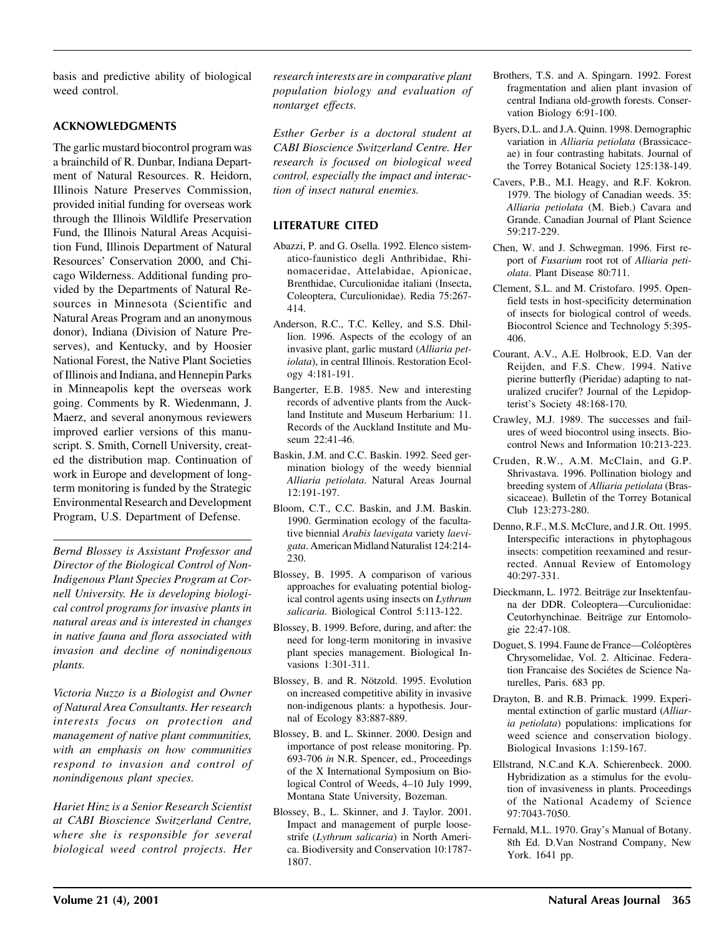basis and predictive ability of biological weed control.

## **ACKNOWLEDGMENTS**

The garlic mustard biocontrol program was a brainchild of R. Dunbar, Indiana Department of Natural Resources. R. Heidorn, Illinois Nature Preserves Commission, provided initial funding for overseas work through the Illinois Wildlife Preservation Fund, the Illinois Natural Areas Acquisition Fund, Illinois Department of Natural Resources' Conservation 2000, and Chicago Wilderness. Additional funding provided by the Departments of Natural Resources in Minnesota (Scientific and Natural Areas Program and an anonymous donor), Indiana (Division of Nature Preserves), and Kentucky, and by Hoosier National Forest, the Native Plant Societies of Illinois and Indiana, and Hennepin Parks in Minneapolis kept the overseas work going. Comments by R. Wiedenmann, J. Maerz, and several anonymous reviewers improved earlier versions of this manuscript. S. Smith, Cornell University, created the distribution map. Continuation of work in Europe and development of longterm monitoring is funded by the Strategic Environmental Research and Development Program, U.S. Department of Defense.

*Bernd Blossey is Assistant Professor and Director of the Biological Control of Non-Indigenous Plant Species Program at Cornell University. He is developing biological control programs for invasive plants in natural areas and is interested in changes in native fauna and flora associated with invasion and decline of nonindigenous plants.*

*Victoria Nuzzo is a Biologist and Owner of Natural Area Consultants. Her research interests focus on protection and management of native plant communities, with an emphasis on how communities respond to invasion and control of nonindigenous plant species.*

*Hariet Hinz is a Senior Research Scientist at CABI Bioscience Switzerland Centre, where she is responsible for several biological weed control projects. Her* *research interests are in comparative plant population biology and evaluation of nontarget effects.*

*Esther Gerber is a doctoral student at CABI Bioscience Switzerland Centre. Her research is focused on biological weed control, especially the impact and interaction of insect natural enemies.*

## **LITERATURE CITED**

- Abazzi, P. and G. Osella. 1992. Elenco sistematico-faunistico degli Anthribidae, Rhinomaceridae, Attelabidae, Apionicae, Brenthidae, Curculionidae italiani (Insecta, Coleoptera, Curculionidae). Redia 75:267- 414.
- Anderson, R.C., T.C. Kelley, and S.S. Dhillion. 1996. Aspects of the ecology of an invasive plant, garlic mustard (*Alliaria petiolata*), in central Illinois. Restoration Ecology 4:181-191.
- Bangerter, E.B. 1985. New and interesting records of adventive plants from the Auckland Institute and Museum Herbarium: 11. Records of the Auckland Institute and Museum 22:41-46.
- Baskin, J.M. and C.C. Baskin. 1992. Seed germination biology of the weedy biennial *Alliaria petiolata*. Natural Areas Journal 12:191-197.
- Bloom, C.T., C.C. Baskin, and J.M. Baskin. 1990. Germination ecology of the facultative biennial *Arabis laevigata* variety *laevigata*. American Midland Naturalist 124:214- 230.
- Blossey, B. 1995. A comparison of various approaches for evaluating potential biological control agents using insects on *Lythrum salicaria*. Biological Control 5:113-122.
- Blossey, B. 1999. Before, during, and after: the need for long-term monitoring in invasive plant species management. Biological Invasions 1:301-311.
- Blossey, B. and R. Nötzold. 1995. Evolution on increased competitive ability in invasive non-indigenous plants: a hypothesis. Journal of Ecology 83:887-889.
- Blossey, B. and L. Skinner. 2000. Design and importance of post release monitoring. Pp. 693-706 *in* N.R. Spencer, ed., Proceedings of the X International Symposium on Biological Control of Weeds, 4–10 July 1999, Montana State University, Bozeman.
- Blossey, B., L. Skinner, and J. Taylor. 2001. Impact and management of purple loosestrife (*Lythrum salicaria*) in North America. Biodiversity and Conservation 10:1787- 1807.
- Brothers, T.S. and A. Spingarn. 1992. Forest fragmentation and alien plant invasion of central Indiana old-growth forests. Conservation Biology 6:91-100.
- Byers, D.L. and J.A. Quinn. 1998. Demographic variation in *Alliaria petiolata* (Brassicaceae) in four contrasting habitats. Journal of the Torrey Botanical Society 125:138-149.
- Cavers, P.B., M.I. Heagy, and R.F. Kokron. 1979. The biology of Canadian weeds. 35: *Alliaria petiolata* (M. Bieb.) Cavara and Grande. Canadian Journal of Plant Science 59:217-229.
- Chen, W. and J. Schwegman. 1996. First report of *Fusarium* root rot of *Alliaria petiolata*. Plant Disease 80:711.
- Clement, S.L. and M. Cristofaro. 1995. Openfield tests in host-specificity determination of insects for biological control of weeds. Biocontrol Science and Technology 5:395- 406.
- Courant, A.V., A.E. Holbrook, E.D. Van der Reijden, and F.S. Chew. 1994. Native pierine butterfly (Pieridae) adapting to naturalized crucifer? Journal of the Lepidopterist's Society 48:168-170.
- Crawley, M.J. 1989. The successes and failures of weed biocontrol using insects. Biocontrol News and Information 10:213-223.
- Cruden, R.W., A.M. McClain, and G.P. Shrivastava. 1996. Pollination biology and breeding system of *Alliaria petiolata* (Brassicaceae). Bulletin of the Torrey Botanical Club 123:273-280.
- Denno, R.F., M.S. McClure, and J.R. Ott. 1995. Interspecific interactions in phytophagous insects: competition reexamined and resurrected. Annual Review of Entomology 40:297-331.
- Dieckmann, L. 1972. Beiträge zur Insektenfauna der DDR. Coleoptera—Curculionidae: Ceutorhynchinae. Beiträge zur Entomologie 22:47-108.
- Doguet, S. 1994. Faune de France—Coléoptères Chrysomelidae, Vol. 2. Alticinae. Federation Francaise des Sociétes de Science Naturelles, Paris. 683 pp.
- Drayton, B. and R.B. Primack. 1999. Experimental extinction of garlic mustard (*Alliaria petiolata*) populations: implications for weed science and conservation biology. Biological Invasions 1:159-167.
- Ellstrand, N.C.and K.A. Schierenbeck. 2000. Hybridization as a stimulus for the evolution of invasiveness in plants. Proceedings of the National Academy of Science 97:7043-7050.
- Fernald, M.L. 1970. Gray's Manual of Botany. 8th Ed. D.Van Nostrand Company, New York. 1641 pp.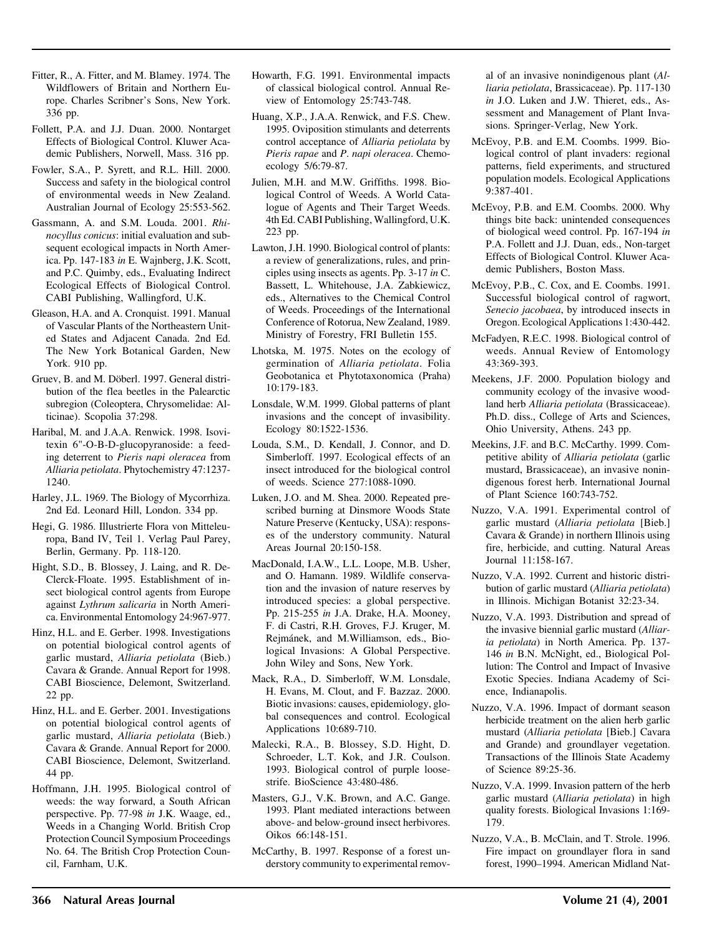- Fitter, R., A. Fitter, and M. Blamey. 1974. The Wildflowers of Britain and Northern Europe. Charles Scribner's Sons, New York. 336 pp.
- Follett, P.A. and J.J. Duan. 2000. Nontarget Effects of Biological Control. Kluwer Academic Publishers, Norwell, Mass. 316 pp.
- Fowler, S.A., P. Syrett, and R.L. Hill. 2000. Success and safety in the biological control of environmental weeds in New Zealand. Australian Journal of Ecology 25:553-562.
- Gassmann, A. and S.M. Louda. 2001. *Rhinocyllus conicus*: initial evaluation and subsequent ecological impacts in North America. Pp. 147-183 *in* E. Wajnberg, J.K. Scott, and P.C. Quimby, eds., Evaluating Indirect Ecological Effects of Biological Control. CABI Publishing, Wallingford, U.K.
- Gleason, H.A. and A. Cronquist. 1991. Manual of Vascular Plants of the Northeastern United States and Adjacent Canada. 2nd Ed. The New York Botanical Garden, New York. 910 pp.
- Gruev, B. and M. Döberl. 1997. General distribution of the flea beetles in the Palearctic subregion (Coleoptera, Chrysomelidae: Alticinae). Scopolia 37:298.
- Haribal, M. and J.A.A. Renwick. 1998. Isovitexin 6"-O-B-D-glucopyranoside: a feeding deterrent to *Pieris napi oleracea* from *Alliaria petiolata*. Phytochemistry 47:1237- 1240.
- Harley, J.L. 1969. The Biology of Mycorrhiza. 2nd Ed. Leonard Hill, London. 334 pp.
- Hegi, G. 1986. Illustrierte Flora von Mitteleuropa, Band IV, Teil 1. Verlag Paul Parey, Berlin, Germany. Pp. 118-120.
- Hight, S.D., B. Blossey, J. Laing, and R. De-Clerck-Floate. 1995. Establishment of insect biological control agents from Europe against *Lythrum salicaria* in North America. Environmental Entomology 24:967-977.
- Hinz, H.L. and E. Gerber. 1998. Investigations on potential biological control agents of garlic mustard, *Alliaria petiolata* (Bieb.) Cavara & Grande. Annual Report for 1998. CABI Bioscience, Delemont, Switzerland. 22 pp.
- Hinz, H.L. and E. Gerber. 2001. Investigations on potential biological control agents of garlic mustard, *Alliaria petiolata* (Bieb.) Cavara & Grande. Annual Report for 2000. CABI Bioscience, Delemont, Switzerland. 44 pp.
- Hoffmann, J.H. 1995. Biological control of weeds: the way forward, a South African perspective. Pp. 77-98 *in* J.K. Waage, ed., Weeds in a Changing World. British Crop Protection Council Symposium Proceedings No. 64. The British Crop Protection Council, Farnham, U.K.
- Howarth, F.G. 1991. Environmental impacts of classical biological control. Annual Review of Entomology 25:743-748.
- Huang, X.P., J.A.A. Renwick, and F.S. Chew. 1995. Oviposition stimulants and deterrents control acceptance of *Alliaria petiolata* by *Pieris rapae* and *P*. *napi oleracea*. Chemoecology 5/6:79-87.
- Julien, M.H. and M.W. Griffiths. 1998. Biological Control of Weeds. A World Catalogue of Agents and Their Target Weeds. 4th Ed. CABI Publishing, Wallingford, U.K. 223 pp.
- Lawton, J.H. 1990. Biological control of plants: a review of generalizations, rules, and principles using insects as agents. Pp. 3-17 *in* C. Bassett, L. Whitehouse, J.A. Zabkiewicz, eds., Alternatives to the Chemical Control of Weeds. Proceedings of the International Conference of Rotorua, New Zealand, 1989. Ministry of Forestry, FRI Bulletin 155.
- Lhotska, M. 1975. Notes on the ecology of germination of *Alliaria petiolata*. Folia Geobotanica et Phytotaxonomica (Praha) 10:179-183.
- Lonsdale, W.M. 1999. Global patterns of plant invasions and the concept of invasibility. Ecology 80:1522-1536.
- Louda, S.M., D. Kendall, J. Connor, and D. Simberloff. 1997. Ecological effects of an insect introduced for the biological control of weeds. Science 277:1088-1090.
- Luken, J.O. and M. Shea. 2000. Repeated prescribed burning at Dinsmore Woods State Nature Preserve (Kentucky, USA): responses of the understory community. Natural Areas Journal 20:150-158.
- MacDonald, I.A.W., L.L. Loope, M.B. Usher, and O. Hamann. 1989. Wildlife conservation and the invasion of nature reserves by introduced species: a global perspective. Pp. 215-255 *in* J.A. Drake, H.A. Mooney, F. di Castri, R.H. Groves, F.J. Kruger, M. Rejmánek, and M.Williamson, eds., Biological Invasions: A Global Perspective. John Wiley and Sons, New York.
- Mack, R.A., D. Simberloff, W.M. Lonsdale, H. Evans, M. Clout, and F. Bazzaz. 2000. Biotic invasions: causes, epidemiology, global consequences and control. Ecological Applications 10:689-710.
- Malecki, R.A., B. Blossey, S.D. Hight, D. Schroeder, L.T. Kok, and J.R. Coulson. 1993. Biological control of purple loosestrife. BioScience 43:480-486.
- Masters, G.J., V.K. Brown, and A.C. Gange. 1993. Plant mediated interactions between above- and below-ground insect herbivores. Oikos 66:148-151.
- McCarthy, B. 1997. Response of a forest understory community to experimental remov-

al of an invasive nonindigenous plant (*Alliaria petiolata*, Brassicaceae). Pp. 117-130 *in* J.O. Luken and J.W. Thieret, eds., Assessment and Management of Plant Invasions. Springer-Verlag, New York.

- McEvoy, P.B. and E.M. Coombs. 1999. Biological control of plant invaders: regional patterns, field experiments, and structured population models. Ecological Applications 9:387-401.
- McEvoy, P.B. and E.M. Coombs. 2000. Why things bite back: unintended consequences of biological weed control. Pp. 167-194 *in* P.A. Follett and J.J. Duan, eds., Non-target Effects of Biological Control. Kluwer Academic Publishers, Boston Mass.
- McEvoy, P.B., C. Cox, and E. Coombs. 1991. Successful biological control of ragwort, *Senecio jacobaea*, by introduced insects in Oregon. Ecological Applications 1:430-442.
- McFadyen, R.E.C. 1998. Biological control of weeds. Annual Review of Entomology 43:369-393.
- Meekens, J.F. 2000. Population biology and community ecology of the invasive woodland herb *Alliaria petiolata* (Brassicaceae). Ph.D. diss., College of Arts and Sciences, Ohio University, Athens. 243 pp.
- Meekins, J.F. and B.C. McCarthy. 1999. Competitive ability of *Alliaria petiolata* (garlic mustard, Brassicaceae), an invasive nonindigenous forest herb. International Journal of Plant Science 160:743-752.
- Nuzzo, V.A. 1991. Experimental control of garlic mustard (*Alliaria petiolata* [Bieb.] Cavara & Grande) in northern Illinois using fire, herbicide, and cutting. Natural Areas Journal 11:158-167.
- Nuzzo, V.A. 1992. Current and historic distribution of garlic mustard (*Alliaria petiolata*) in Illinois. Michigan Botanist 32:23-34.
- Nuzzo, V.A. 1993. Distribution and spread of the invasive biennial garlic mustard (*Alliaria petiolata*) in North America. Pp. 137- 146 *in* B.N. McNight, ed., Biological Pollution: The Control and Impact of Invasive Exotic Species. Indiana Academy of Science, Indianapolis.
- Nuzzo, V.A. 1996. Impact of dormant season herbicide treatment on the alien herb garlic mustard (*Alliaria petiolata* [Bieb.] Cavara and Grande) and groundlayer vegetation. Transactions of the Illinois State Academy of Science 89:25-36.
- Nuzzo, V.A. 1999. Invasion pattern of the herb garlic mustard (*Alliaria petiolata*) in high quality forests. Biological Invasions 1:169- 179.
- Nuzzo, V.A., B. McClain, and T. Strole. 1996. Fire impact on groundlayer flora in sand forest, 1990–1994. American Midland Nat-